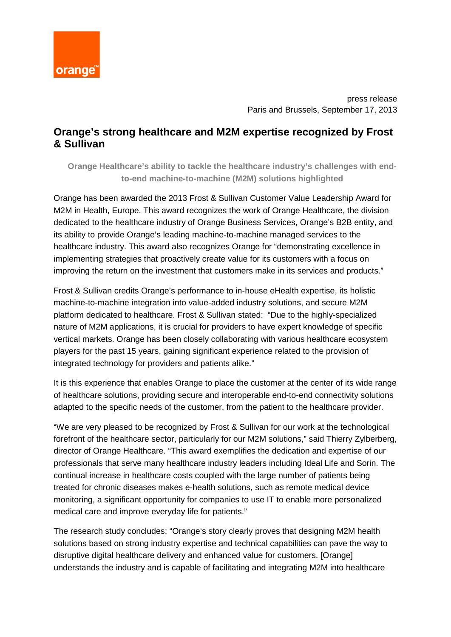

press release Paris and Brussels, September 17, 2013

# **Orange's strong healthcare and M2M expertise recognized by Frost & Sullivan**

**Orange Healthcare's ability to tackle the healthcare industry's challenges with endto-end machine-to-machine (M2M) solutions highlighted**

Orange has been awarded the 2013 Frost & Sullivan Customer Value Leadership Award for M2M in Health, Europe. This award recognizes the work of Orange Healthcare, the division dedicated to the healthcare industry of Orange Business Services, Orange's B2B entity, and its ability to provide Orange's leading machine-to-machine managed services to the healthcare industry. This award also recognizes Orange for "demonstrating excellence in implementing strategies that proactively create value for its customers with a focus on improving the return on the investment that customers make in its services and products."

Frost & Sullivan credits Orange's performance to in-house eHealth expertise, its holistic machine-to-machine integration into value-added industry solutions, and secure M2M platform dedicated to healthcare. Frost & Sullivan stated: "Due to the highly-specialized nature of M2M applications, it is crucial for providers to have expert knowledge of specific vertical markets. Orange has been closely collaborating with various healthcare ecosystem players for the past 15 years, gaining significant experience related to the provision of integrated technology for providers and patients alike."

It is this experience that enables Orange to place the customer at the center of its wide range of healthcare solutions, providing secure and interoperable end-to-end connectivity solutions adapted to the specific needs of the customer, from the patient to the healthcare provider.

"We are very pleased to be recognized by Frost & Sullivan for our work at the technological forefront of the healthcare sector, particularly for our M2M solutions," said Thierry Zylberberg, director of Orange Healthcare. "This award exemplifies the dedication and expertise of our professionals that serve many healthcare industry leaders including Ideal Life and Sorin. The continual increase in healthcare costs coupled with the large number of patients being treated for chronic diseases makes e-health solutions, such as remote medical device monitoring, a significant opportunity for companies to use IT to enable more personalized medical care and improve everyday life for patients."

The research study concludes: "Orange's story clearly proves that designing M2M health solutions based on strong industry expertise and technical capabilities can pave the way to disruptive digital healthcare delivery and enhanced value for customers. [Orange] understands the industry and is capable of facilitating and integrating M2M into healthcare